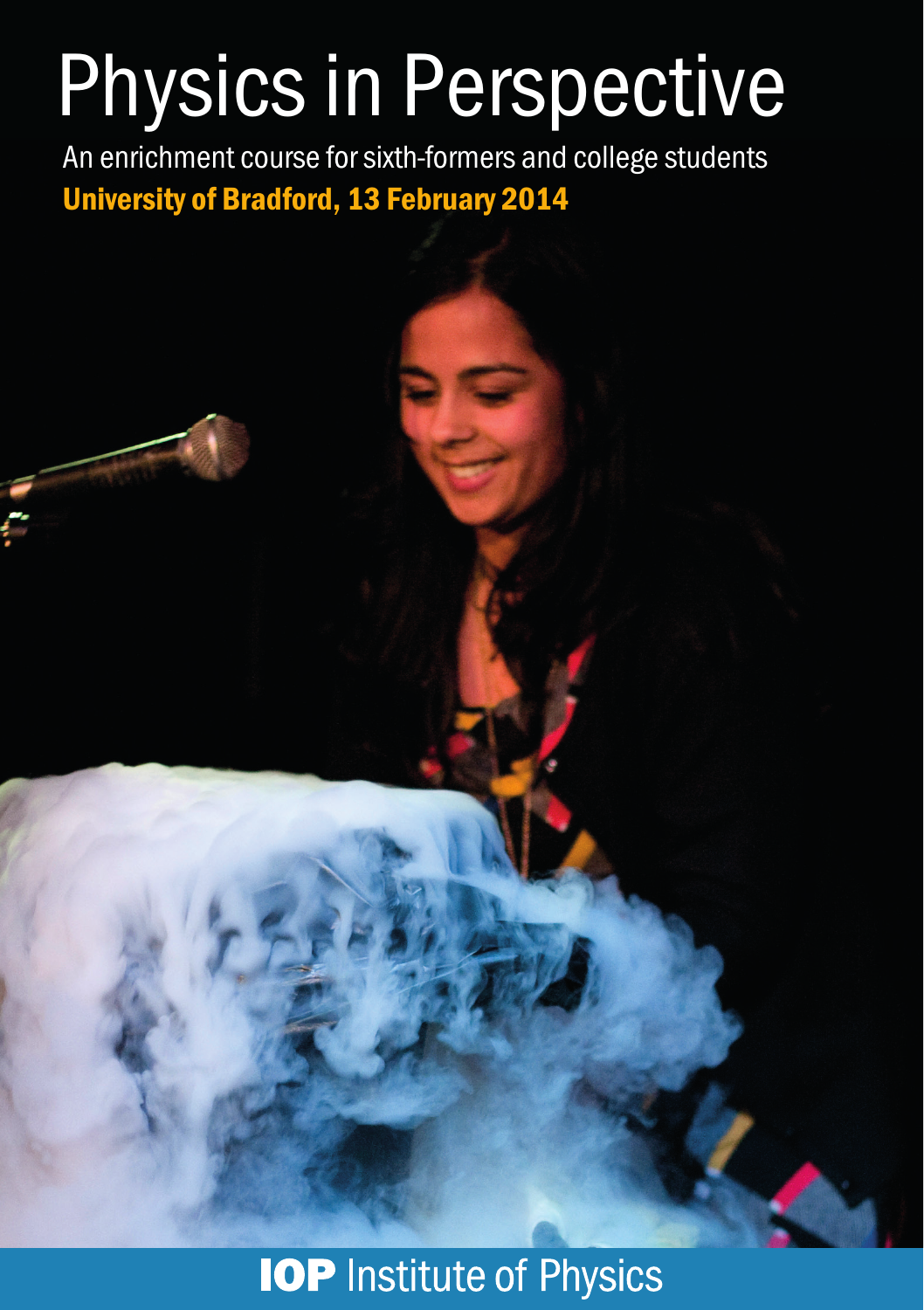# Physics in Perspective

An enrichment course for sixth-formers and college students University of Bradford, 13 February 2014

**IOP** Institute of Physics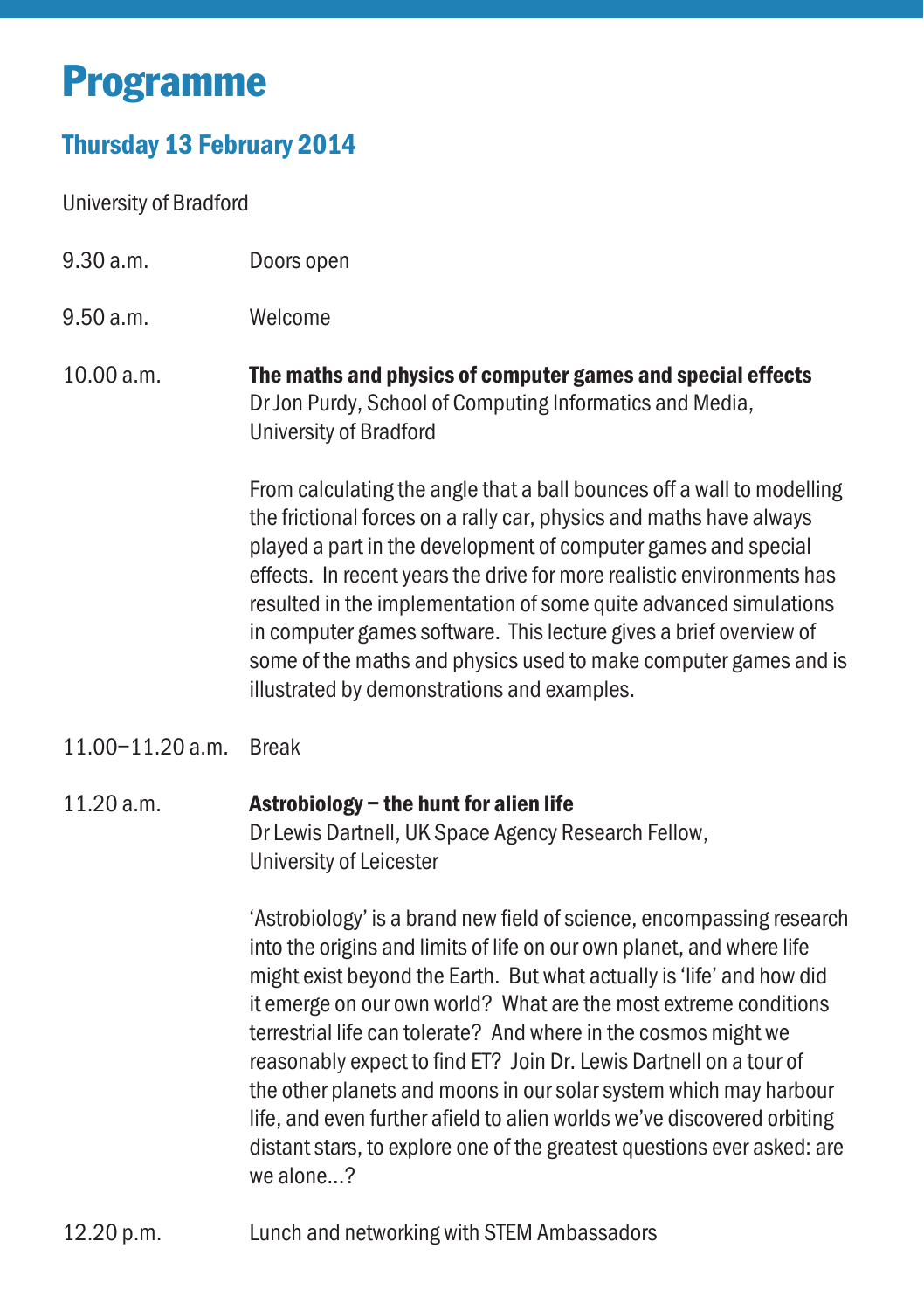## Programme

### Thursday 13 February 2014

University of Bradford

- 9.30 a.m. Doors open
- 9.50 a.m. Welcome
- 10.00 a.m. The maths and physics of computer games and special effects Dr Jon Purdy, School of Computing Informatics and Media, University of Bradford

From calculating the angle that a ball bounces off a wall to modelling the frictional forces on a rally car, physics and maths have always played a part in the development of computer games and special effects. In recent years the drive for more realistic environments has resulted in the implementation of some quite advanced simulations in computer games software. This lecture gives a brief overview of some of the maths and physics used to make computer games and is illustrated by demonstrations and examples.

11.00–11.20 a.m. Break

#### 11.20 a.m. Astrobiology – the hunt for alien life Dr Lewis Dartnell, UK Space Agency Research Fellow, University of Leicester

'Astrobiology' is a brand new field of science, encompassing research into the origins and limits of life on our own planet, and where life might exist beyond the Earth. But what actually is 'life' and how did it emerge on our own world? What are the most extreme conditions terrestrial life can tolerate? And where in the cosmos might we reasonably expect to find ET? Join Dr. Lewis Dartnell on a tour of the other planets and moons in our solar system which may harbour life, and even further afield to alien worlds we've discovered orbiting distant stars, to explore one of the greatest questions ever asked: are  $W^{\alpha}$  alone...?

12.20 p.m. Lunch and networking with STEM Ambassadors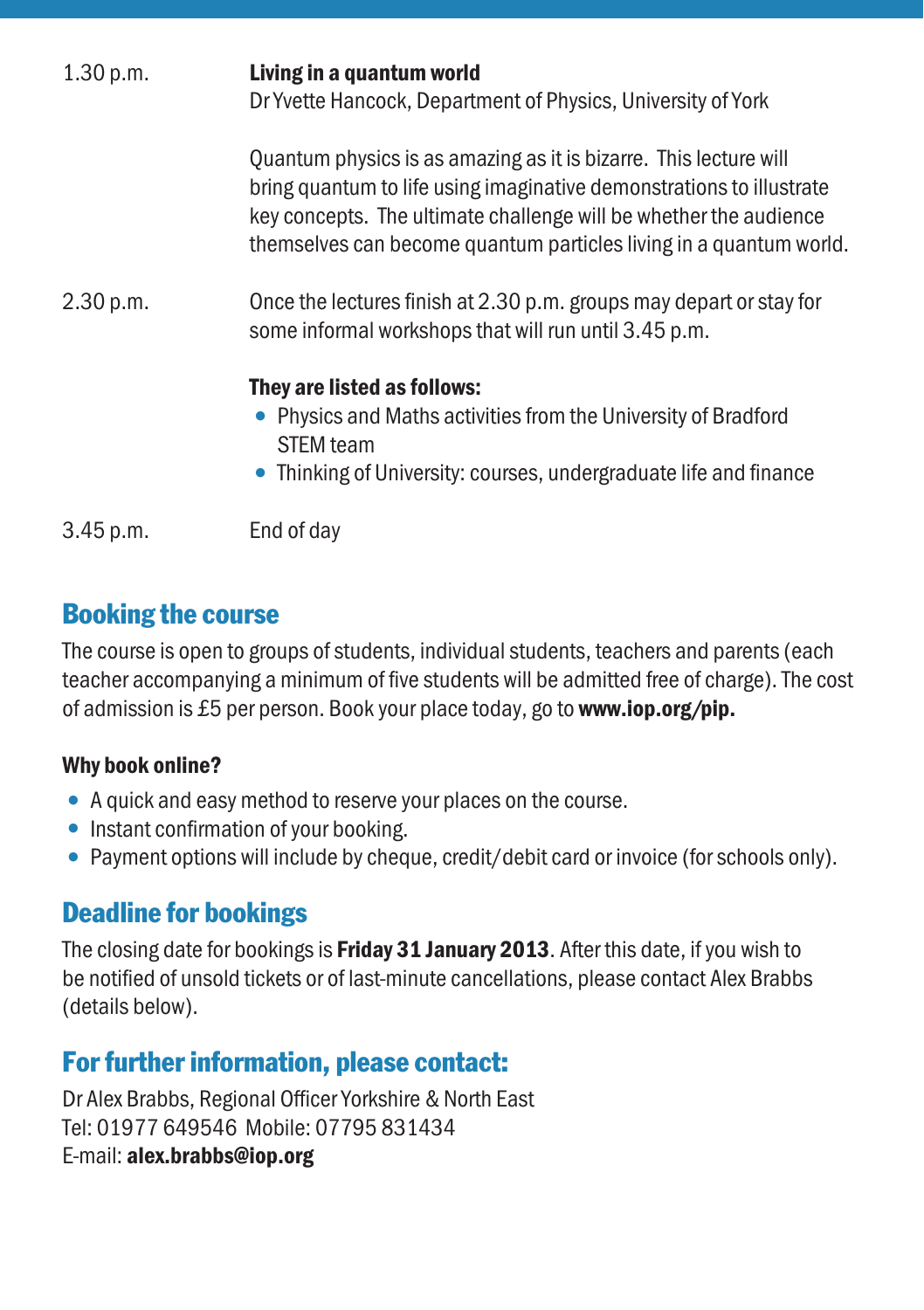| 1.30 p.m. | Living in a quantum world<br>Dr Yvette Hancock, Department of Physics, University of York                                                                                                                                                                                            |
|-----------|--------------------------------------------------------------------------------------------------------------------------------------------------------------------------------------------------------------------------------------------------------------------------------------|
|           | Quantum physics is as amazing as it is bizarre. This lecture will<br>bring quantum to life using imaginative demonstrations to illustrate<br>key concepts. The ultimate challenge will be whether the audience<br>themselves can become quantum particles living in a quantum world. |
| 2.30 p.m. | Once the lectures finish at 2.30 p.m. groups may depart or stay for<br>some informal workshops that will run until 3.45 p.m.                                                                                                                                                         |
|           | They are listed as follows:<br>• Physics and Maths activities from the University of Bradford<br><b>STEM</b> team<br>• Thinking of University: courses, undergraduate life and finance                                                                                               |
| 3.45 p.m. | End of dav                                                                                                                                                                                                                                                                           |

#### Booking the course

The course is open to groups of students, individual students, teachers and parents (each teacher accompanying a minimum of five students will be admitted free of charge). The cost of admission is £5 per person. Book your place today, go to www.iop.org/pip.

#### Why book online?

- A quick and easy method to reserve your places on the course.
- Instant confirmation of your booking.
- Payment options will include by cheque, credit/debit card or invoice (for schools only).

#### Deadline for bookings

The closing date for bookings is **Friday 31 January 2013**. After this date, if you wish to be notified of unsold tickets or of last-minute cancellations, please contact Alex Brabbs (details below).

### For further information, please contact:

Dr Alex Brabbs, Regional Officer Yorkshire & North East Tel: 01977 649546 Mobile: 07795 831434 E-mail: alex.brabbs@iop.org